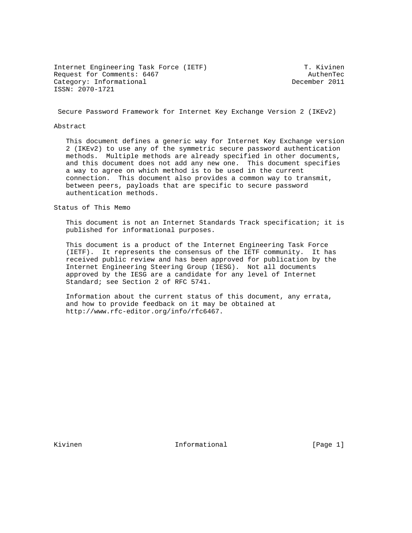Internet Engineering Task Force (IETF) T. Kivinen Request for Comments: 6467 AuthenTec<br>
Category: Informational and Category: Informational Category: Informational ISSN: 2070-1721

Secure Password Framework for Internet Key Exchange Version 2 (IKEv2)

#### Abstract

 This document defines a generic way for Internet Key Exchange version 2 (IKEv2) to use any of the symmetric secure password authentication methods. Multiple methods are already specified in other documents, and this document does not add any new one. This document specifies a way to agree on which method is to be used in the current connection. This document also provides a common way to transmit, between peers, payloads that are specific to secure password authentication methods.

Status of This Memo

 This document is not an Internet Standards Track specification; it is published for informational purposes.

 This document is a product of the Internet Engineering Task Force (IETF). It represents the consensus of the IETF community. It has received public review and has been approved for publication by the Internet Engineering Steering Group (IESG). Not all documents approved by the IESG are a candidate for any level of Internet Standard; see Section 2 of RFC 5741.

 Information about the current status of this document, any errata, and how to provide feedback on it may be obtained at http://www.rfc-editor.org/info/rfc6467.

Kivinen 11. Informational 1996 [Page 1]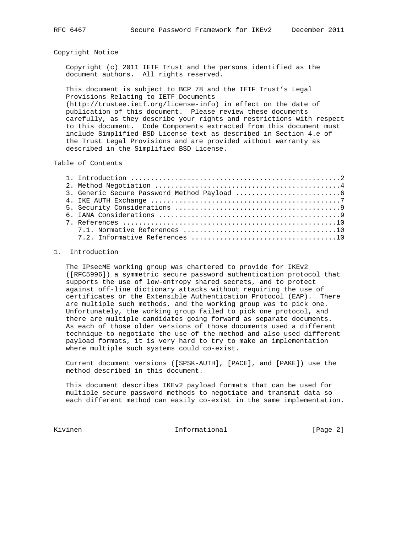### Copyright Notice

 Copyright (c) 2011 IETF Trust and the persons identified as the document authors. All rights reserved.

 This document is subject to BCP 78 and the IETF Trust's Legal Provisions Relating to IETF Documents

 (http://trustee.ietf.org/license-info) in effect on the date of publication of this document. Please review these documents carefully, as they describe your rights and restrictions with respect to this document. Code Components extracted from this document must include Simplified BSD License text as described in Section 4.e of the Trust Legal Provisions and are provided without warranty as described in the Simplified BSD License.

## Table of Contents

## 1. Introduction

 The IPsecME working group was chartered to provide for IKEv2 ([RFC5996]) a symmetric secure password authentication protocol that supports the use of low-entropy shared secrets, and to protect against off-line dictionary attacks without requiring the use of certificates or the Extensible Authentication Protocol (EAP). There are multiple such methods, and the working group was to pick one. Unfortunately, the working group failed to pick one protocol, and there are multiple candidates going forward as separate documents. As each of those older versions of those documents used a different technique to negotiate the use of the method and also used different payload formats, it is very hard to try to make an implementation where multiple such systems could co-exist.

 Current document versions ([SPSK-AUTH], [PACE], and [PAKE]) use the method described in this document.

 This document describes IKEv2 payload formats that can be used for multiple secure password methods to negotiate and transmit data so each different method can easily co-exist in the same implementation.

Kivinen 1. Informational 1. Eage 2]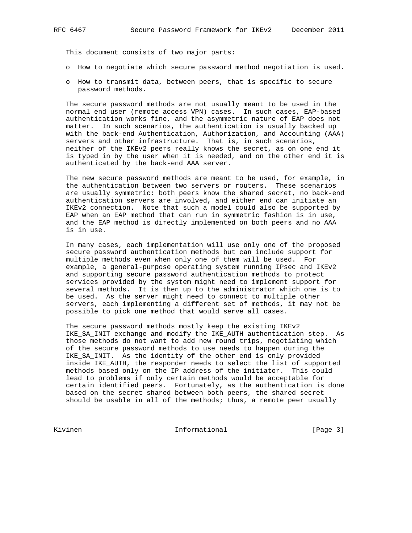This document consists of two major parts:

- o How to negotiate which secure password method negotiation is used.
- o How to transmit data, between peers, that is specific to secure password methods.

 The secure password methods are not usually meant to be used in the normal end user (remote access VPN) cases. In such cases, EAP-based authentication works fine, and the asymmetric nature of EAP does not matter. In such scenarios, the authentication is usually backed up with the back-end Authentication, Authorization, and Accounting (AAA) servers and other infrastructure. That is, in such scenarios, neither of the IKEv2 peers really knows the secret, as on one end it is typed in by the user when it is needed, and on the other end it is authenticated by the back-end AAA server.

 The new secure password methods are meant to be used, for example, in the authentication between two servers or routers. These scenarios are usually symmetric: both peers know the shared secret, no back-end authentication servers are involved, and either end can initiate an IKEv2 connection. Note that such a model could also be supported by EAP when an EAP method that can run in symmetric fashion is in use, and the EAP method is directly implemented on both peers and no AAA is in use.

 In many cases, each implementation will use only one of the proposed secure password authentication methods but can include support for multiple methods even when only one of them will be used. For example, a general-purpose operating system running IPsec and IKEv2 and supporting secure password authentication methods to protect services provided by the system might need to implement support for several methods. It is then up to the administrator which one is to be used. As the server might need to connect to multiple other servers, each implementing a different set of methods, it may not be possible to pick one method that would serve all cases.

 The secure password methods mostly keep the existing IKEv2 IKE\_SA\_INIT exchange and modify the IKE\_AUTH authentication step. As those methods do not want to add new round trips, negotiating which of the secure password methods to use needs to happen during the IKE\_SA\_INIT. As the identity of the other end is only provided inside IKE\_AUTH, the responder needs to select the list of supported methods based only on the IP address of the initiator. This could lead to problems if only certain methods would be acceptable for certain identified peers. Fortunately, as the authentication is done based on the secret shared between both peers, the shared secret should be usable in all of the methods; thus, a remote peer usually

Kivinen 10 Informational [Page 3]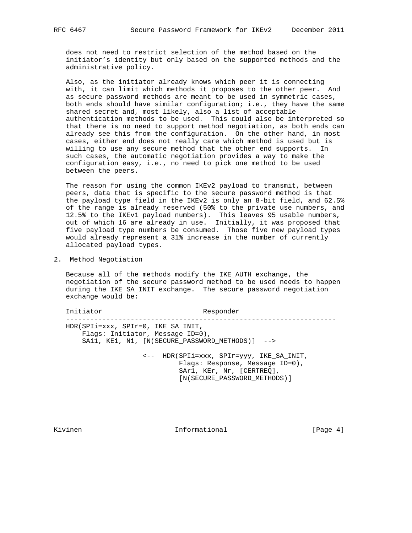does not need to restrict selection of the method based on the initiator's identity but only based on the supported methods and the administrative policy.

 Also, as the initiator already knows which peer it is connecting with, it can limit which methods it proposes to the other peer. And as secure password methods are meant to be used in symmetric cases, both ends should have similar configuration; i.e., they have the same shared secret and, most likely, also a list of acceptable authentication methods to be used. This could also be interpreted so that there is no need to support method negotiation, as both ends can already see this from the configuration. On the other hand, in most cases, either end does not really care which method is used but is willing to use any secure method that the other end supports. In such cases, the automatic negotiation provides a way to make the configuration easy, i.e., no need to pick one method to be used between the peers.

 The reason for using the common IKEv2 payload to transmit, between peers, data that is specific to the secure password method is that the payload type field in the IKEv2 is only an 8-bit field, and 62.5% of the range is already reserved (50% to the private use numbers, and 12.5% to the IKEv1 payload numbers). This leaves 95 usable numbers, out of which 16 are already in use. Initially, it was proposed that five payload type numbers be consumed. Those five new payload types would already represent a 31% increase in the number of currently allocated payload types.

2. Method Negotiation

 Because all of the methods modify the IKE\_AUTH exchange, the negotiation of the secure password method to be used needs to happen during the IKE\_SA\_INIT exchange. The secure password negotiation exchange would be:

Initiator Responder ------------------------------------------------------------------- HDR(SPIi=xxx, SPIr=0, IKE\_SA\_INIT, Flags: Initiator, Message ID=0), SAi1, KEi, Ni, [N(SECURE\_PASSWORD\_METHODS)] -->

> <-- HDR(SPIi=xxx, SPIr=yyy, IKE\_SA\_INIT, Flags: Response, Message ID=0), SAr1, KEr, Nr, [CERTREQ], [N(SECURE\_PASSWORD\_METHODS)]

Kivinen 11. Informational 1992 (Page 4)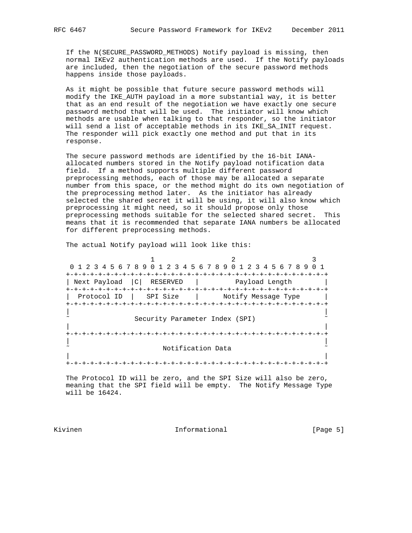If the N(SECURE\_PASSWORD\_METHODS) Notify payload is missing, then normal IKEv2 authentication methods are used. If the Notify payloads are included, then the negotiation of the secure password methods happens inside those payloads.

 As it might be possible that future secure password methods will modify the IKE\_AUTH payload in a more substantial way, it is better that as an end result of the negotiation we have exactly one secure password method that will be used. The initiator will know which methods are usable when talking to that responder, so the initiator will send a list of acceptable methods in its IKE\_SA\_INIT request. The responder will pick exactly one method and put that in its response.

 The secure password methods are identified by the 16-bit IANA allocated numbers stored in the Notify payload notification data field. If a method supports multiple different password preprocessing methods, each of those may be allocated a separate number from this space, or the method might do its own negotiation of the preprocessing method later. As the initiator has already selected the shared secret it will be using, it will also know which preprocessing it might need, so it should propose only those preprocessing methods suitable for the selected shared secret. This means that it is recommended that separate IANA numbers be allocated for different preprocessing methods.

The actual Notify payload will look like this:

1 2 3 0 1 2 3 4 5 6 7 8 9 0 1 2 3 4 5 6 7 8 9 0 1 2 3 4 5 6 7 8 9 0 1 +-+-+-+-+-+-+-+-+-+-+-+-+-+-+-+-+-+-+-+-+-+-+-+-+-+-+-+-+-+-+-+-+ | Next Payload |C| RESERVED | Payload Length | +-+-+-+-+-+-+-+-+-+-+-+-+-+-+-+-+-+-+-+-+-+-+-+-+-+-+-+-+-+-+-+-+ | Protocol ID | SPI Size | Notify Message Type | +-+-+-+-+-+-+-+-+-+-+-+-+-+-+-+-+-+-+-+-+-+-+-+-+-+-+-+-+-+-+-+-+ | | Security Parameter Index (SPI) | | +-+-+-+-+-+-+-+-+-+-+-+-+-+-+-+-+-+-+-+-+-+-+-+-+-+-+-+-+-+-+-+-+ | | Notification Data | | +-+-+-+-+-+-+-+-+-+-+-+-+-+-+-+-+-+-+-+-+-+-+-+-+-+-+-+-+-+-+-+-+

 The Protocol ID will be zero, and the SPI Size will also be zero, meaning that the SPI field will be empty. The Notify Message Type will be 16424.

Kivinen 10 Informational 1999 [Page 5]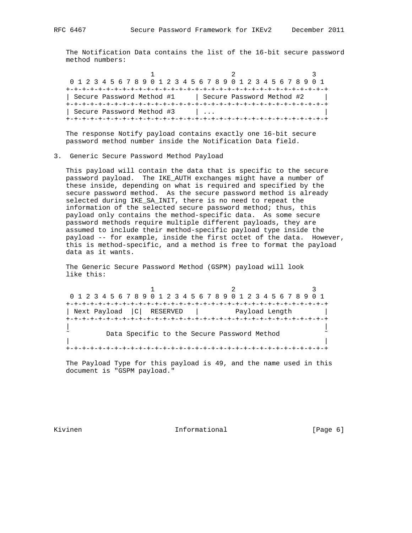1 2 3 0 1 2 3 4 5 6 7 8 9 0 1 2 3 4 5 6 7 8 9 0 1 2 3 4 5 6 7 8 9 0 1 +-+-+-+-+-+-+-+-+-+-+-+-+-+-+-+-+-+-+-+-+-+-+-+-+-+-+-+-+-+-+-+-+ | Secure Password Method #1 | Secure Password Method #2 +-+-+-+-+-+-+-+-+-+-+-+-+-+-+-+-+-+-+-+-+-+-+-+-+-+-+-+-+-+-+-+-+ | Secure Password Method #3 | ... +-+-+-+-+-+-+-+-+-+-+-+-+-+-+-+-+-+-+-+-+-+-+-+-+-+-+-+-+-+-+-+-+

 The response Notify payload contains exactly one 16-bit secure password method number inside the Notification Data field.

3. Generic Secure Password Method Payload

 This payload will contain the data that is specific to the secure password payload. The IKE\_AUTH exchanges might have a number of these inside, depending on what is required and specified by the secure password method. As the secure password method is already selected during IKE\_SA\_INIT, there is no need to repeat the information of the selected secure password method; thus, this payload only contains the method-specific data. As some secure password methods require multiple different payloads, they are assumed to include their method-specific payload type inside the payload -- for example, inside the first octet of the data. However, this is method-specific, and a method is free to format the payload data as it wants.

 The Generic Secure Password Method (GSPM) payload will look like this:

1 2 3 0 1 2 3 4 5 6 7 8 9 0 1 2 3 4 5 6 7 8 9 0 1 2 3 4 5 6 7 8 9 0 1 +-+-+-+-+-+-+-+-+-+-+-+-+-+-+-+-+-+-+-+-+-+-+-+-+-+-+-+-+-+-+-+-+ | Next Payload | C | RESERVED | Payload Length +-+-+-+-+-+-+-+-+-+-+-+-+-+-+-+-+-+-+-+-+-+-+-+-+-+-+-+-+-+-+-+-+ | | Data Specific to the Secure Password Method | | +-+-+-+-+-+-+-+-+-+-+-+-+-+-+-+-+-+-+-+-+-+-+-+-+-+-+-+-+-+-+-+-+

 The Payload Type for this payload is 49, and the name used in this document is "GSPM payload."

Kivinen 10 Informational 1999 [Page 6]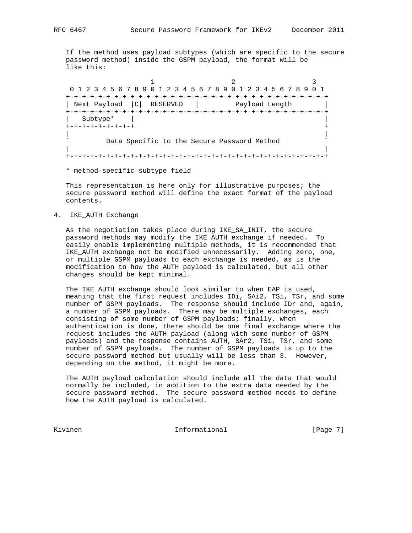If the method uses payload subtypes (which are specific to the secure password method) inside the GSPM payload, the format will be like this:

1 2 3 0 1 2 3 4 5 6 7 8 9 0 1 2 3 4 5 6 7 8 9 0 1 2 3 4 5 6 7 8 9 0 1 +-+-+-+-+-+-+-+-+-+-+-+-+-+-+-+-+-+-+-+-+-+-+-+-+-+-+-+-+-+-+-+-+ | Next Payload | C | RESERVED | Payload Length +-+-+-+-+-+-+-+-+-+-+-+-+-+-+-+-+-+-+-+-+-+-+-+-+-+-+-+-+-+-+-+-+ | Subtype\* | | +-+-+-+-+-+-+-+-+ + | | Data Specific to the Secure Password Method | | +-+-+-+-+-+-+-+-+-+-+-+-+-+-+-+-+-+-+-+-+-+-+-+-+-+-+-+-+-+-+-+-+

\* method-specific subtype field

 This representation is here only for illustrative purposes; the secure password method will define the exact format of the payload contents.

4. IKE\_AUTH Exchange

 As the negotiation takes place during IKE\_SA\_INIT, the secure password methods may modify the IKE\_AUTH exchange if needed. To easily enable implementing multiple methods, it is recommended that IKE\_AUTH exchange not be modified unnecessarily. Adding zero, one, or multiple GSPM payloads to each exchange is needed, as is the modification to how the AUTH payload is calculated, but all other changes should be kept minimal.

 The IKE\_AUTH exchange should look similar to when EAP is used, meaning that the first request includes IDi, SAi2, TSi, TSr, and some number of GSPM payloads. The response should include IDr and, again, a number of GSPM payloads. There may be multiple exchanges, each consisting of some number of GSPM payloads; finally, when authentication is done, there should be one final exchange where the request includes the AUTH payload (along with some number of GSPM payloads) and the response contains AUTH, SAr2, TSi, TSr, and some number of GSPM payloads. The number of GSPM payloads is up to the secure password method but usually will be less than 3. However, depending on the method, it might be more.

 The AUTH payload calculation should include all the data that would normally be included, in addition to the extra data needed by the secure password method. The secure password method needs to define how the AUTH payload is calculated.

Kivinen 1988 Informational 1989 (Page 7)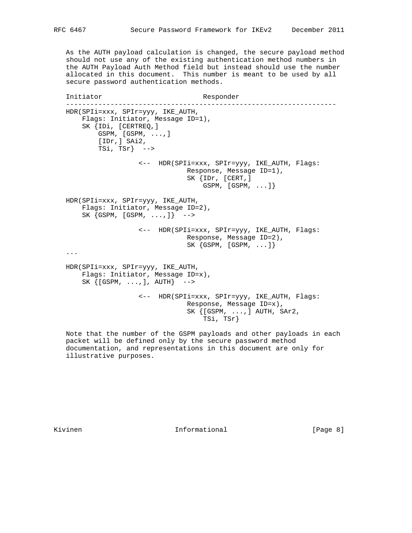As the AUTH payload calculation is changed, the secure payload method should not use any of the existing authentication method numbers in the AUTH Payload Auth Method field but instead should use the number allocated in this document. This number is meant to be used by all secure password authentication methods.

 Initiator Responder ------------------------------------------------------------------- HDR(SPIi=xxx, SPIr=yyy, IKE\_AUTH, Flags: Initiator, Message ID=1), SK {IDi, [CERTREQ,] GSPM, [GSPM, ...,] [IDr,] SAi2, TSi, TSr}  $\leftarrow$  <-- HDR(SPIi=xxx, SPIr=yyy, IKE\_AUTH, Flags: Response, Message ID=1), SK {IDr, [CERT,] GSPM, [GSPM, ...]} HDR(SPIi=xxx, SPIr=yyy, IKE\_AUTH, Flags: Initiator, Message ID=2), SK  $\{GSPM, [GSPM, ...,] \}$  --> <-- HDR(SPIi=xxx, SPIr=yyy, IKE\_AUTH, Flags: Response, Message ID=2), SK {GSPM, [GSPM, ...]} ... HDR(SPIi=xxx, SPIr=yyy, IKE\_AUTH, Flags: Initiator, Message ID=x),  $SK \{ [GSPM, \ldots,], AUTH \}$  --> <-- HDR(SPIi=xxx, SPIr=yyy, IKE\_AUTH, Flags: Response, Message ID=x), SK {[GSPM, ...,] AUTH, SAr2, TSi, TSr}

 Note that the number of the GSPM payloads and other payloads in each packet will be defined only by the secure password method documentation, and representations in this document are only for illustrative purposes.

Kivinen 1988 - Informational 1988 (Page 8)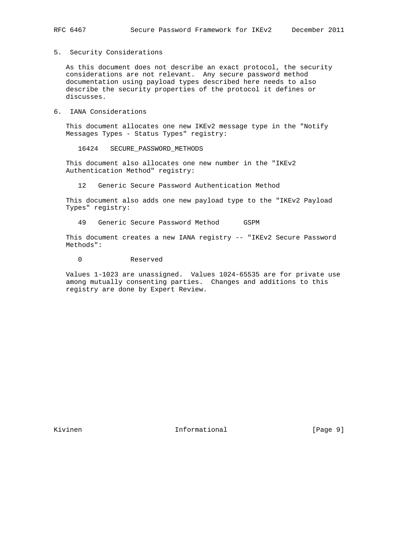5. Security Considerations

 As this document does not describe an exact protocol, the security considerations are not relevant. Any secure password method documentation using payload types described here needs to also describe the security properties of the protocol it defines or discusses.

6. IANA Considerations

 This document allocates one new IKEv2 message type in the "Notify Messages Types - Status Types" registry:

16424 SECURE\_PASSWORD\_METHODS

 This document also allocates one new number in the "IKEv2 Authentication Method" registry:

12 Generic Secure Password Authentication Method

 This document also adds one new payload type to the "IKEv2 Payload Types" registry:

49 Generic Secure Password Method GSPM

 This document creates a new IANA registry -- "IKEv2 Secure Password Methods":

0 Reserved

 Values 1-1023 are unassigned. Values 1024-65535 are for private use among mutually consenting parties. Changes and additions to this registry are done by Expert Review.

Kivinen 10 Informational 1999 (Page 9)